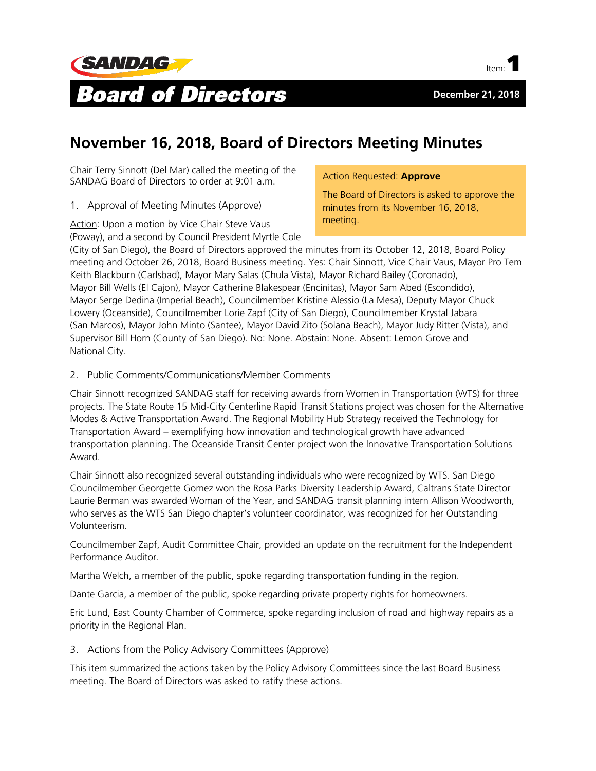



# **November 16, 2018, Board of Directors Meeting Minutes**

Chair Terry Sinnott (Del Mar) called the meeting of the SANDAG Board of Directors to order at 9:01 a.m.

1. Approval of Meeting Minutes (Approve)

Action: Upon a motion by Vice Chair Steve Vaus (Poway), and a second by Council President Myrtle Cole Action Requested: **Approve**

The Board of Directors is asked to approve the minutes from its November 16, 2018, meeting.

(City of San Diego), the Board of Directors approved the minutes from its October 12, 2018, Board Policy meeting and October 26, 2018, Board Business meeting. Yes: Chair Sinnott, Vice Chair Vaus, Mayor Pro Tem Keith Blackburn (Carlsbad), Mayor Mary Salas (Chula Vista), Mayor Richard Bailey (Coronado), Mayor Bill Wells (El Cajon), Mayor Catherine Blakespear (Encinitas), Mayor Sam Abed (Escondido), Mayor Serge Dedina (Imperial Beach), Councilmember Kristine Alessio (La Mesa), Deputy Mayor Chuck Lowery (Oceanside), Councilmember Lorie Zapf (City of San Diego), Councilmember Krystal Jabara (San Marcos), Mayor John Minto (Santee), Mayor David Zito (Solana Beach), Mayor Judy Ritter (Vista), and Supervisor Bill Horn (County of San Diego). No: None. Abstain: None. Absent: Lemon Grove and National City.

# 2. Public Comments/Communications/Member Comments

Chair Sinnott recognized SANDAG staff for receiving awards from Women in Transportation (WTS) for three projects. The State Route 15 Mid-City Centerline Rapid Transit Stations project was chosen for the Alternative Modes & Active Transportation Award. The Regional Mobility Hub Strategy received the Technology for Transportation Award – exemplifying how innovation and technological growth have advanced transportation planning. The Oceanside Transit Center project won the Innovative Transportation Solutions Award.

Chair Sinnott also recognized several outstanding individuals who were recognized by WTS. San Diego Councilmember Georgette Gomez won the Rosa Parks Diversity Leadership Award, Caltrans State Director Laurie Berman was awarded Woman of the Year, and SANDAG transit planning intern Allison Woodworth, who serves as the WTS San Diego chapter's volunteer coordinator, was recognized for her Outstanding Volunteerism.

Councilmember Zapf, Audit Committee Chair, provided an update on the recruitment for the Independent Performance Auditor.

Martha Welch, a member of the public, spoke regarding transportation funding in the region.

Dante Garcia, a member of the public, spoke regarding private property rights for homeowners.

Eric Lund, East County Chamber of Commerce, spoke regarding inclusion of road and highway repairs as a priority in the Regional Plan.

# 3. Actions from the Policy Advisory Committees (Approve)

This item summarized the actions taken by the Policy Advisory Committees since the last Board Business meeting. The Board of Directors was asked to ratify these actions.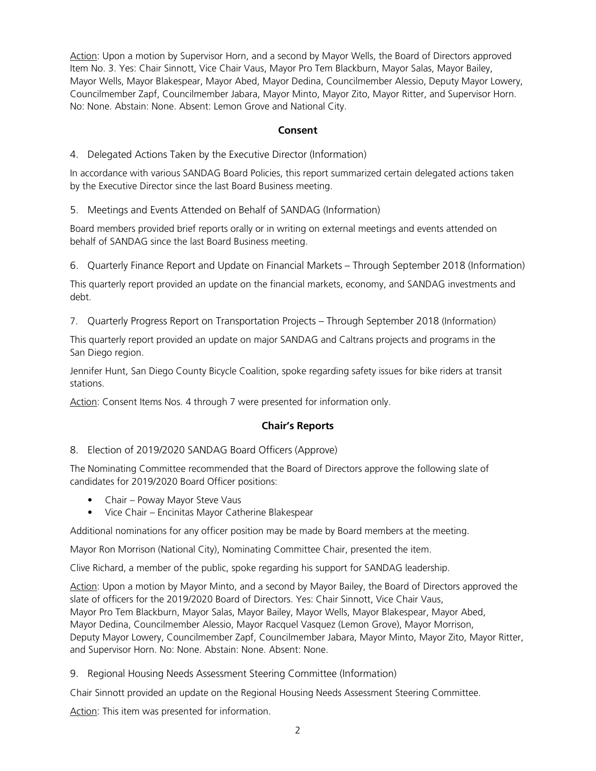Action: Upon a motion by Supervisor Horn, and a second by Mayor Wells, the Board of Directors approved Item No. 3. Yes: Chair Sinnott, Vice Chair Vaus, Mayor Pro Tem Blackburn, Mayor Salas, Mayor Bailey, Mayor Wells, Mayor Blakespear, Mayor Abed, Mayor Dedina, Councilmember Alessio, Deputy Mayor Lowery, Councilmember Zapf, Councilmember Jabara, Mayor Minto, Mayor Zito, Mayor Ritter, and Supervisor Horn. No: None. Abstain: None. Absent: Lemon Grove and National City.

## **Consent**

4. Delegated Actions Taken by the Executive Director (Information)

In accordance with various SANDAG Board Policies, this report summarized certain delegated actions taken by the Executive Director since the last Board Business meeting.

5. Meetings and Events Attended on Behalf of SANDAG (Information)

Board members provided brief reports orally or in writing on external meetings and events attended on behalf of SANDAG since the last Board Business meeting.

6. Quarterly Finance Report and Update on Financial Markets – Through September 2018 (Information)

This quarterly report provided an update on the financial markets, economy, and SANDAG investments and debt.

7. Quarterly Progress Report on Transportation Projects – Through September 2018 (Information)

This quarterly report provided an update on major SANDAG and Caltrans projects and programs in the San Diego region.

Jennifer Hunt, San Diego County Bicycle Coalition, spoke regarding safety issues for bike riders at transit stations.

Action: Consent Items Nos. 4 through 7 were presented for information only.

# **Chair's Reports**

8. Election of 2019/2020 SANDAG Board Officers (Approve)

The Nominating Committee recommended that the Board of Directors approve the following slate of candidates for 2019/2020 Board Officer positions:

- Chair Poway Mayor Steve Vaus
- Vice Chair Encinitas Mayor Catherine Blakespear

Additional nominations for any officer position may be made by Board members at the meeting.

Mayor Ron Morrison (National City), Nominating Committee Chair, presented the item.

Clive Richard, a member of the public, spoke regarding his support for SANDAG leadership.

Action: Upon a motion by Mayor Minto, and a second by Mayor Bailey, the Board of Directors approved the slate of officers for the 2019/2020 Board of Directors. Yes: Chair Sinnott, Vice Chair Vaus, Mayor Pro Tem Blackburn, Mayor Salas, Mayor Bailey, Mayor Wells, Mayor Blakespear, Mayor Abed, Mayor Dedina, Councilmember Alessio, Mayor Racquel Vasquez (Lemon Grove), Mayor Morrison, Deputy Mayor Lowery, Councilmember Zapf, Councilmember Jabara, Mayor Minto, Mayor Zito, Mayor Ritter, and Supervisor Horn. No: None. Abstain: None. Absent: None.

9. Regional Housing Needs Assessment Steering Committee (Information)

Chair Sinnott provided an update on the Regional Housing Needs Assessment Steering Committee.

Action: This item was presented for information.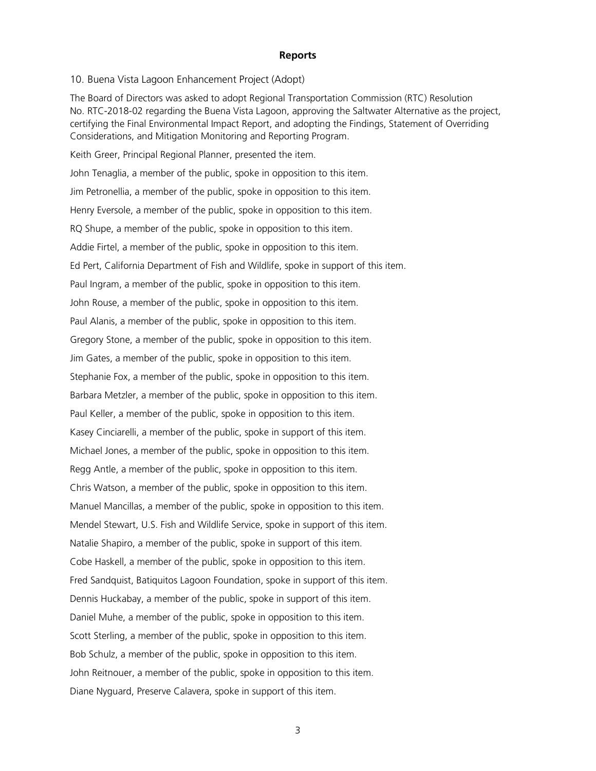#### **Reports**

10. Buena Vista Lagoon Enhancement Project (Adopt)

The Board of Directors was asked to adopt Regional Transportation Commission (RTC) Resolution No. RTC-2018-02 regarding the Buena Vista Lagoon, approving the Saltwater Alternative as the project, certifying the Final Environmental Impact Report, and adopting the Findings, Statement of Overriding Considerations, and Mitigation Monitoring and Reporting Program.

Keith Greer, Principal Regional Planner, presented the item. John Tenaglia, a member of the public, spoke in opposition to this item. Jim Petronellia, a member of the public, spoke in opposition to this item. Henry Eversole, a member of the public, spoke in opposition to this item. RQ Shupe, a member of the public, spoke in opposition to this item. Addie Firtel, a member of the public, spoke in opposition to this item. Ed Pert, California Department of Fish and Wildlife, spoke in support of this item. Paul Ingram, a member of the public, spoke in opposition to this item. John Rouse, a member of the public, spoke in opposition to this item. Paul Alanis, a member of the public, spoke in opposition to this item. Gregory Stone, a member of the public, spoke in opposition to this item. Jim Gates, a member of the public, spoke in opposition to this item. Stephanie Fox, a member of the public, spoke in opposition to this item. Barbara Metzler, a member of the public, spoke in opposition to this item. Paul Keller, a member of the public, spoke in opposition to this item. Kasey Cinciarelli, a member of the public, spoke in support of this item. Michael Jones, a member of the public, spoke in opposition to this item. Regg Antle, a member of the public, spoke in opposition to this item. Chris Watson, a member of the public, spoke in opposition to this item. Manuel Mancillas, a member of the public, spoke in opposition to this item. Mendel Stewart, U.S. Fish and Wildlife Service, spoke in support of this item. Natalie Shapiro, a member of the public, spoke in support of this item. Cobe Haskell, a member of the public, spoke in opposition to this item. Fred Sandquist, Batiquitos Lagoon Foundation, spoke in support of this item. Dennis Huckabay, a member of the public, spoke in support of this item. Daniel Muhe, a member of the public, spoke in opposition to this item. Scott Sterling, a member of the public, spoke in opposition to this item. Bob Schulz, a member of the public, spoke in opposition to this item. John Reitnouer, a member of the public, spoke in opposition to this item. Diane Nyguard, Preserve Calavera, spoke in support of this item.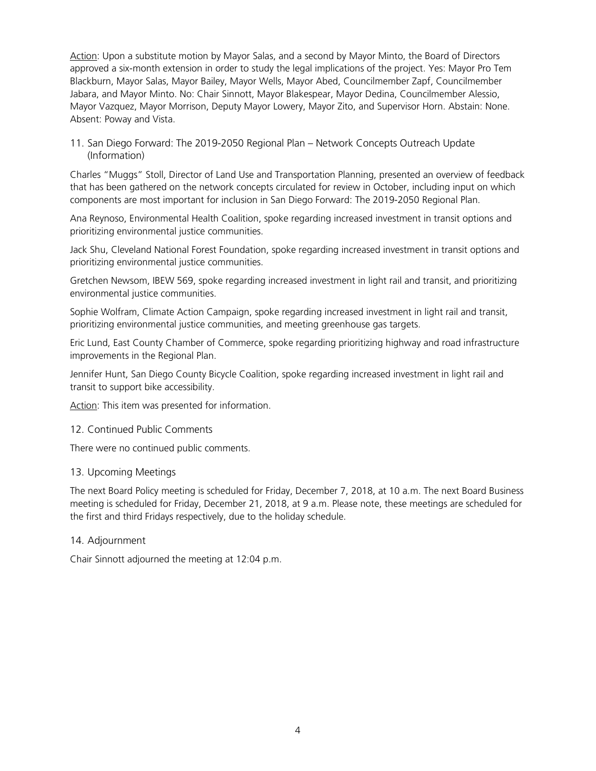Action: Upon a substitute motion by Mayor Salas, and a second by Mayor Minto, the Board of Directors approved a six-month extension in order to study the legal implications of the project. Yes: Mayor Pro Tem Blackburn, Mayor Salas, Mayor Bailey, Mayor Wells, Mayor Abed, Councilmember Zapf, Councilmember Jabara, and Mayor Minto. No: Chair Sinnott, Mayor Blakespear, Mayor Dedina, Councilmember Alessio, Mayor Vazquez, Mayor Morrison, Deputy Mayor Lowery, Mayor Zito, and Supervisor Horn. Abstain: None. Absent: Poway and Vista.

11. San Diego Forward: The 2019-2050 Regional Plan – Network Concepts Outreach Update (Information)

Charles "Muggs" Stoll, Director of Land Use and Transportation Planning, presented an overview of feedback that has been gathered on the network concepts circulated for review in October, including input on which components are most important for inclusion in San Diego Forward: The 2019-2050 Regional Plan.

Ana Reynoso, Environmental Health Coalition, spoke regarding increased investment in transit options and prioritizing environmental justice communities.

Jack Shu, Cleveland National Forest Foundation, spoke regarding increased investment in transit options and prioritizing environmental justice communities.

Gretchen Newsom, IBEW 569, spoke regarding increased investment in light rail and transit, and prioritizing environmental justice communities.

Sophie Wolfram, Climate Action Campaign, spoke regarding increased investment in light rail and transit, prioritizing environmental justice communities, and meeting greenhouse gas targets.

Eric Lund, East County Chamber of Commerce, spoke regarding prioritizing highway and road infrastructure improvements in the Regional Plan.

Jennifer Hunt, San Diego County Bicycle Coalition, spoke regarding increased investment in light rail and transit to support bike accessibility.

Action: This item was presented for information.

## 12. Continued Public Comments

There were no continued public comments.

## 13. Upcoming Meetings

The next Board Policy meeting is scheduled for Friday, December 7, 2018, at 10 a.m. The next Board Business meeting is scheduled for Friday, December 21, 2018, at 9 a.m. Please note, these meetings are scheduled for the first and third Fridays respectively, due to the holiday schedule.

## 14. Adjournment

Chair Sinnott adjourned the meeting at 12:04 p.m.